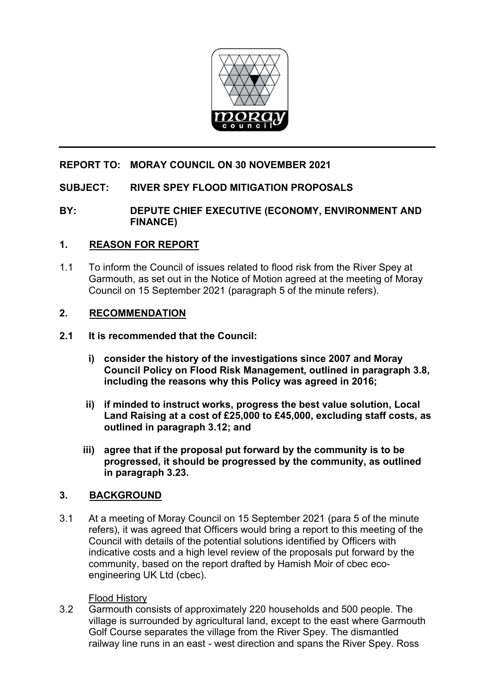

# **REPORT TO: MORAY COUNCIL ON 30 NOVEMBER 2021**

## **SUBJECT: RIVER SPEY FLOOD MITIGATION PROPOSALS**

### **BY: DEPUTE CHIEF EXECUTIVE (ECONOMY, ENVIRONMENT AND FINANCE)**

## **1. REASON FOR REPORT**

1.1 To inform the Council of issues related to flood risk from the River Spey at Garmouth, as set out in the Notice of Motion agreed at the meeting of Moray Council on 15 September 2021 (paragraph 5 of the minute refers).

#### **2. RECOMMENDATION**

- **2.1 It is recommended that the Council:** 
	- **i) consider the history of the investigations since 2007 and Moray Council Policy on Flood Risk Management, outlined in paragraph 3.8, including the reasons why this Policy was agreed in 2016;**
	- **ii) if minded to instruct works, progress the best value solution, Local Land Raising at a cost of £25,000 to £45,000, excluding staff costs, as outlined in paragraph 3.12; and**
	- **iii) agree that if the proposal put forward by the community is to be progressed, it should be progressed by the community, as outlined in paragraph 3.23.**

#### **3. BACKGROUND**

3.1 At a meeting of Moray Council on 15 September 2021 (para 5 of the minute refers), it was agreed that Officers would bring a report to this meeting of the Council with details of the potential solutions identified by Officers with indicative costs and a high level review of the proposals put forward by the community, based on the report drafted by Hamish Moir of cbec ecoengineering UK Ltd (cbec).

#### Flood History

3.2 Garmouth consists of approximately 220 households and 500 people. The village is surrounded by agricultural land, except to the east where Garmouth Golf Course separates the village from the River Spey. The dismantled railway line runs in an east - west direction and spans the River Spey. Ross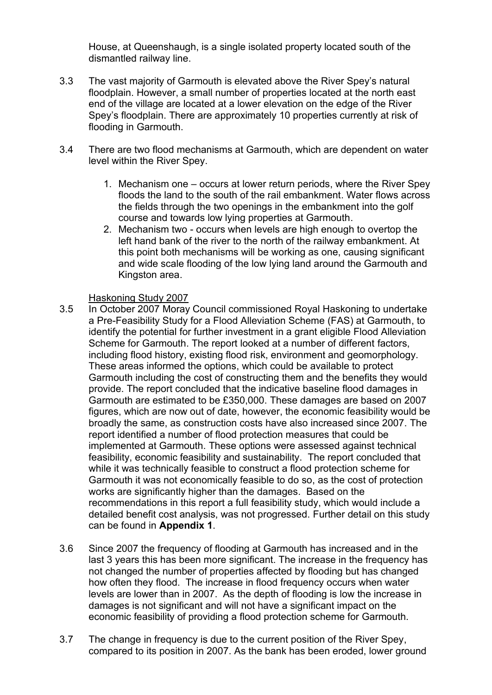House, at Queenshaugh, is a single isolated property located south of the dismantled railway line.

- 3.3 The vast majority of Garmouth is elevated above the River Spey's natural floodplain. However, a small number of properties located at the north east end of the village are located at a lower elevation on the edge of the River Spey's floodplain. There are approximately 10 properties currently at risk of flooding in Garmouth.
- 3.4 There are two flood mechanisms at Garmouth, which are dependent on water level within the River Spey.
	- 1. Mechanism one occurs at lower return periods, where the River Spey floods the land to the south of the rail embankment. Water flows across the fields through the two openings in the embankment into the golf course and towards low lying properties at Garmouth.
	- 2. Mechanism two occurs when levels are high enough to overtop the left hand bank of the river to the north of the railway embankment. At this point both mechanisms will be working as one, causing significant and wide scale flooding of the low lying land around the Garmouth and Kingston area.

## Haskoning Study 2007

- 3.5 In October 2007 Moray Council commissioned Royal Haskoning to undertake a Pre-Feasibility Study for a Flood Alleviation Scheme (FAS) at Garmouth, to identify the potential for further investment in a grant eligible Flood Alleviation Scheme for Garmouth. The report looked at a number of different factors, including flood history, existing flood risk, environment and geomorphology. These areas informed the options, which could be available to protect Garmouth including the cost of constructing them and the benefits they would provide. The report concluded that the indicative baseline flood damages in Garmouth are estimated to be £350,000. These damages are based on 2007 figures, which are now out of date, however, the economic feasibility would be broadly the same, as construction costs have also increased since 2007. The report identified a number of flood protection measures that could be implemented at Garmouth. These options were assessed against technical feasibility, economic feasibility and sustainability. The report concluded that while it was technically feasible to construct a flood protection scheme for Garmouth it was not economically feasible to do so, as the cost of protection works are significantly higher than the damages. Based on the recommendations in this report a full feasibility study, which would include a detailed benefit cost analysis, was not progressed. Further detail on this study can be found in **Appendix 1**.
- 3.6 Since 2007 the frequency of flooding at Garmouth has increased and in the last 3 years this has been more significant. The increase in the frequency has not changed the number of properties affected by flooding but has changed how often they flood. The increase in flood frequency occurs when water levels are lower than in 2007. As the depth of flooding is low the increase in damages is not significant and will not have a significant impact on the economic feasibility of providing a flood protection scheme for Garmouth.
- 3.7 The change in frequency is due to the current position of the River Spey, compared to its position in 2007. As the bank has been eroded, lower ground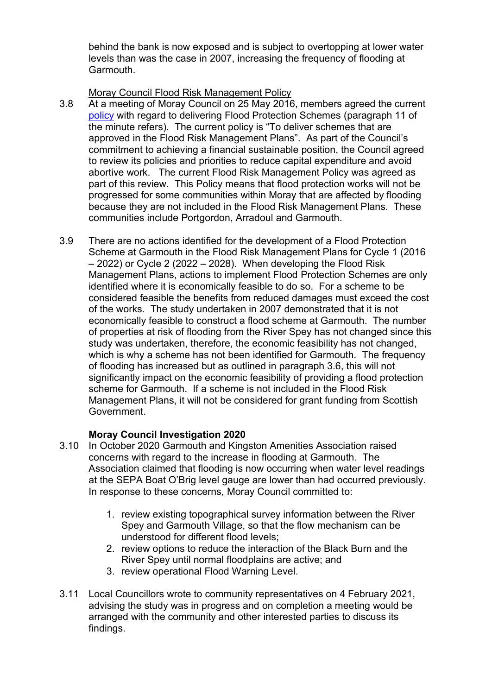behind the bank is now exposed and is subject to overtopping at lower water levels than was the case in 2007, increasing the frequency of flooding at Garmouth.

## Moray Council Flood Risk Management Policy

- 3.8 At a meeting of Moray Council on 25 May 2016, members agreed the current [policy](http://www.moray.gov.uk/minutes/data/MC20160525/Item%2011-Capital%20Plan-Review%20to%20Minimise%20Anortive%20Costs-R.pdf) with regard to delivering Flood Protection Schemes (paragraph 11 of the minute refers). The current policy is "To deliver schemes that are approved in the Flood Risk Management Plans". As part of the Council's commitment to achieving a financial sustainable position, the Council agreed to review its policies and priorities to reduce capital expenditure and avoid abortive work. The current Flood Risk Management Policy was agreed as part of this review. This Policy means that flood protection works will not be progressed for some communities within Moray that are affected by flooding because they are not included in the Flood Risk Management Plans. These communities include Portgordon, Arradoul and Garmouth.
- 3.9 There are no actions identified for the development of a Flood Protection Scheme at Garmouth in the Flood Risk Management Plans for Cycle 1 (2016 – 2022) or Cycle 2 (2022 – 2028). When developing the Flood Risk Management Plans, actions to implement Flood Protection Schemes are only identified where it is economically feasible to do so. For a scheme to be considered feasible the benefits from reduced damages must exceed the cost of the works. The study undertaken in 2007 demonstrated that it is not economically feasible to construct a flood scheme at Garmouth. The number of properties at risk of flooding from the River Spey has not changed since this study was undertaken, therefore, the economic feasibility has not changed, which is why a scheme has not been identified for Garmouth. The frequency of flooding has increased but as outlined in paragraph 3.6, this will not significantly impact on the economic feasibility of providing a flood protection scheme for Garmouth. If a scheme is not included in the Flood Risk Management Plans, it will not be considered for grant funding from Scottish Government.

## **Moray Council Investigation 2020**

- 3.10 In October 2020 Garmouth and Kingston Amenities Association raised concerns with regard to the increase in flooding at Garmouth. The Association claimed that flooding is now occurring when water level readings at the SEPA Boat O'Brig level gauge are lower than had occurred previously. In response to these concerns, Moray Council committed to:
	- 1. review existing topographical survey information between the River Spey and Garmouth Village, so that the flow mechanism can be understood for different flood levels;
	- 2. review options to reduce the interaction of the Black Burn and the River Spey until normal floodplains are active; and
	- 3. review operational Flood Warning Level.
- 3.11 Local Councillors wrote to community representatives on 4 February 2021, advising the study was in progress and on completion a meeting would be arranged with the community and other interested parties to discuss its findings.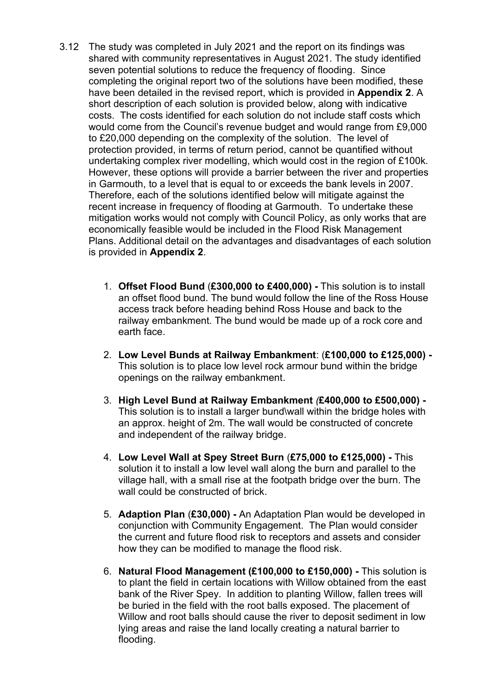- 3.12 The study was completed in July 2021 and the report on its findings was shared with community representatives in August 2021. The study identified seven potential solutions to reduce the frequency of flooding. Since completing the original report two of the solutions have been modified, these have been detailed in the revised report, which is provided in **Appendix 2**. A short description of each solution is provided below, along with indicative costs. The costs identified for each solution do not include staff costs which would come from the Council's revenue budget and would range from £9,000 to £20,000 depending on the complexity of the solution. The level of protection provided, in terms of return period, cannot be quantified without undertaking complex river modelling, which would cost in the region of £100k. However, these options will provide a barrier between the river and properties in Garmouth, to a level that is equal to or exceeds the bank levels in 2007. Therefore, each of the solutions identified below will mitigate against the recent increase in frequency of flooding at Garmouth. To undertake these mitigation works would not comply with Council Policy, as only works that are economically feasible would be included in the Flood Risk Management Plans. Additional detail on the advantages and disadvantages of each solution is provided in **Appendix 2**.
	- 1. **Offset Flood Bund** (**£300,000 to £400,000)** This solution is to install an offset flood bund. The bund would follow the line of the Ross House access track before heading behind Ross House and back to the railway embankment. The bund would be made up of a rock core and earth face.
	- 2. **Low Level Bunds at Railway Embankment**: (**£100,000 to £125,000)**  This solution is to place low level rock armour bund within the bridge openings on the railway embankment.
	- 3. **High Level Bund at Railway Embankment** *(***£400,000 to £500,000)**  This solution is to install a larger bund\wall within the bridge holes with an approx. height of 2m. The wall would be constructed of concrete and independent of the railway bridge.
	- 4. **Low Level Wall at Spey Street Burn** (**£75,000 to £125,000)** This solution it to install a low level wall along the burn and parallel to the village hall, with a small rise at the footpath bridge over the burn. The wall could be constructed of brick.
	- 5. **Adaption Plan** (**£30,000)** An Adaptation Plan would be developed in conjunction with Community Engagement. The Plan would consider the current and future flood risk to receptors and assets and consider how they can be modified to manage the flood risk.
	- 6. **Natural Flood Management (£100,000 to £150,000)** This solution is to plant the field in certain locations with Willow obtained from the east bank of the River Spey. In addition to planting Willow, fallen trees will be buried in the field with the root balls exposed. The placement of Willow and root balls should cause the river to deposit sediment in low lying areas and raise the land locally creating a natural barrier to flooding.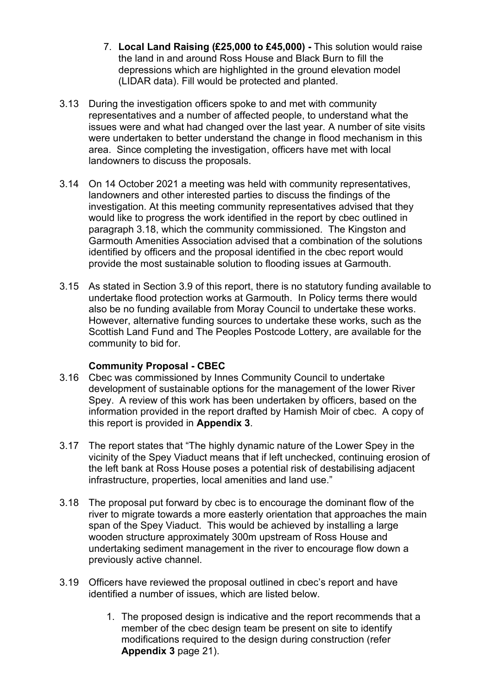- 7. **Local Land Raising (£25,000 to £45,000)** This solution would raise the land in and around Ross House and Black Burn to fill the depressions which are highlighted in the ground elevation model (LIDAR data). Fill would be protected and planted.
- 3.13 During the investigation officers spoke to and met with community representatives and a number of affected people, to understand what the issues were and what had changed over the last year. A number of site visits were undertaken to better understand the change in flood mechanism in this area. Since completing the investigation, officers have met with local landowners to discuss the proposals.
- 3.14 On 14 October 2021 a meeting was held with community representatives, landowners and other interested parties to discuss the findings of the investigation. At this meeting community representatives advised that they would like to progress the work identified in the report by cbec outlined in paragraph 3.18, which the community commissioned. The Kingston and Garmouth Amenities Association advised that a combination of the solutions identified by officers and the proposal identified in the cbec report would provide the most sustainable solution to flooding issues at Garmouth.
- 3.15 As stated in Section 3.9 of this report, there is no statutory funding available to undertake flood protection works at Garmouth. In Policy terms there would also be no funding available from Moray Council to undertake these works. However, alternative funding sources to undertake these works, such as the Scottish Land Fund and The Peoples Postcode Lottery, are available for the community to bid for.

#### **Community Proposal - CBEC**

- 3.16 Cbec was commissioned by Innes Community Council to undertake development of sustainable options for the management of the lower River Spey. A review of this work has been undertaken by officers, based on the information provided in the report drafted by Hamish Moir of cbec. A copy of this report is provided in **Appendix 3**.
- 3.17 The report states that "The highly dynamic nature of the Lower Spey in the vicinity of the Spey Viaduct means that if left unchecked, continuing erosion of the left bank at Ross House poses a potential risk of destabilising adjacent infrastructure, properties, local amenities and land use."
- 3.18 The proposal put forward by cbec is to encourage the dominant flow of the river to migrate towards a more easterly orientation that approaches the main span of the Spey Viaduct. This would be achieved by installing a large wooden structure approximately 300m upstream of Ross House and undertaking sediment management in the river to encourage flow down a previously active channel.
- 3.19 Officers have reviewed the proposal outlined in cbec's report and have identified a number of issues, which are listed below.
	- 1. The proposed design is indicative and the report recommends that a member of the cbec design team be present on site to identify modifications required to the design during construction (refer **Appendix 3** page 21).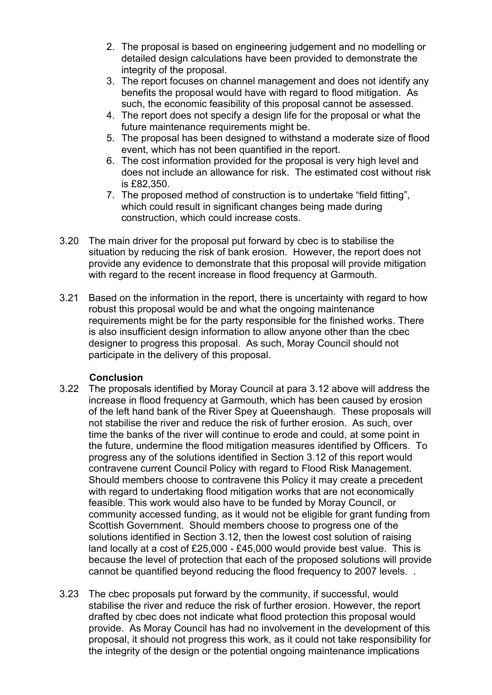- 2. The proposal is based on engineering judgement and no modelling or detailed design calculations have been provided to demonstrate the integrity of the proposal.
- 3. The report focuses on channel management and does not identify any benefits the proposal would have with regard to flood mitigation. As such, the economic feasibility of this proposal cannot be assessed.
- 4. The report does not specify a design life for the proposal or what the future maintenance requirements might be.
- 5. The proposal has been designed to withstand a moderate size of flood event, which has not been quantified in the report.
- 6. The cost information provided for the proposal is very high level and does not include an allowance for risk. The estimated cost without risk is £82,350.
- 7. The proposed method of construction is to undertake "field fitting", which could result in significant changes being made during construction, which could increase costs.
- 3.20 The main driver for the proposal put forward by cbec is to stabilise the situation by reducing the risk of bank erosion. However, the report does not provide any evidence to demonstrate that this proposal will provide mitigation with regard to the recent increase in flood frequency at Garmouth*.*
- 3.21 Based on the information in the report, there is uncertainty with regard to how robust this proposal would be and what the ongoing maintenance requirements might be for the party responsible for the finished works. There is also insufficient design information to allow anyone other than the cbec designer to progress this proposal. As such, Moray Council should not participate in the delivery of this proposal.

#### **Conclusion**

- 3.22 The proposals identified by Moray Council at para 3.12 above will address the increase in flood frequency at Garmouth, which has been caused by erosion of the left hand bank of the River Spey at Queenshaugh. These proposals will not stabilise the river and reduce the risk of further erosion. As such, over time the banks of the river will continue to erode and could, at some point in the future, undermine the flood mitigation measures identified by Officers. To progress any of the solutions identified in Section 3.12 of this report would contravene current Council Policy with regard to Flood Risk Management. Should members choose to contravene this Policy it may create a precedent with regard to undertaking flood mitigation works that are not economically feasible. This work would also have to be funded by Moray Council, or community accessed funding, as it would not be eligible for grant funding from Scottish Government. Should members choose to progress one of the solutions identified in Section 3.12, then the lowest cost solution of raising land locally at a cost of £25,000 - £45,000 would provide best value. This is because the level of protection that each of the proposed solutions will provide cannot be quantified beyond reducing the flood frequency to 2007 levels. .
- 3.23 The cbec proposals put forward by the community, if successful, would stabilise the river and reduce the risk of further erosion. However, the report drafted by cbec does not indicate what flood protection this proposal would provide. As Moray Council has had no involvement in the development of this proposal, it should not progress this work, as it could not take responsibility for the integrity of the design or the potential ongoing maintenance implications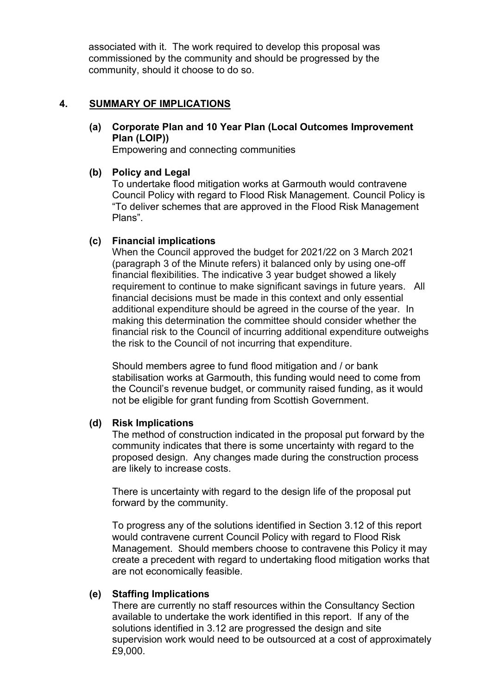associated with it. The work required to develop this proposal was commissioned by the community and should be progressed by the community, should it choose to do so.

### **4. SUMMARY OF IMPLICATIONS**

**(a) Corporate Plan and 10 Year Plan (Local Outcomes Improvement Plan (LOIP))** 

Empowering and connecting communities

#### **(b) Policy and Legal**

To undertake flood mitigation works at Garmouth would contravene Council Policy with regard to Flood Risk Management. Council Policy is "To deliver schemes that are approved in the Flood Risk Management Plans".

#### **(c) Financial implications**

When the Council approved the budget for 2021/22 on 3 March 2021 (paragraph 3 of the Minute refers) it balanced only by using one-off financial flexibilities. The indicative 3 year budget showed a likely requirement to continue to make significant savings in future years. All financial decisions must be made in this context and only essential additional expenditure should be agreed in the course of the year. In making this determination the committee should consider whether the financial risk to the Council of incurring additional expenditure outweighs the risk to the Council of not incurring that expenditure.

Should members agree to fund flood mitigation and / or bank stabilisation works at Garmouth, this funding would need to come from the Council's revenue budget, or community raised funding, as it would not be eligible for grant funding from Scottish Government.

## **(d) Risk Implications**

The method of construction indicated in the proposal put forward by the community indicates that there is some uncertainty with regard to the proposed design. Any changes made during the construction process are likely to increase costs.

There is uncertainty with regard to the design life of the proposal put forward by the community.

To progress any of the solutions identified in Section 3.12 of this report would contravene current Council Policy with regard to Flood Risk Management. Should members choose to contravene this Policy it may create a precedent with regard to undertaking flood mitigation works that are not economically feasible.

#### **(e) Staffing Implications**

There are currently no staff resources within the Consultancy Section available to undertake the work identified in this report. If any of the solutions identified in 3.12 are progressed the design and site supervision work would need to be outsourced at a cost of approximately £9,000.